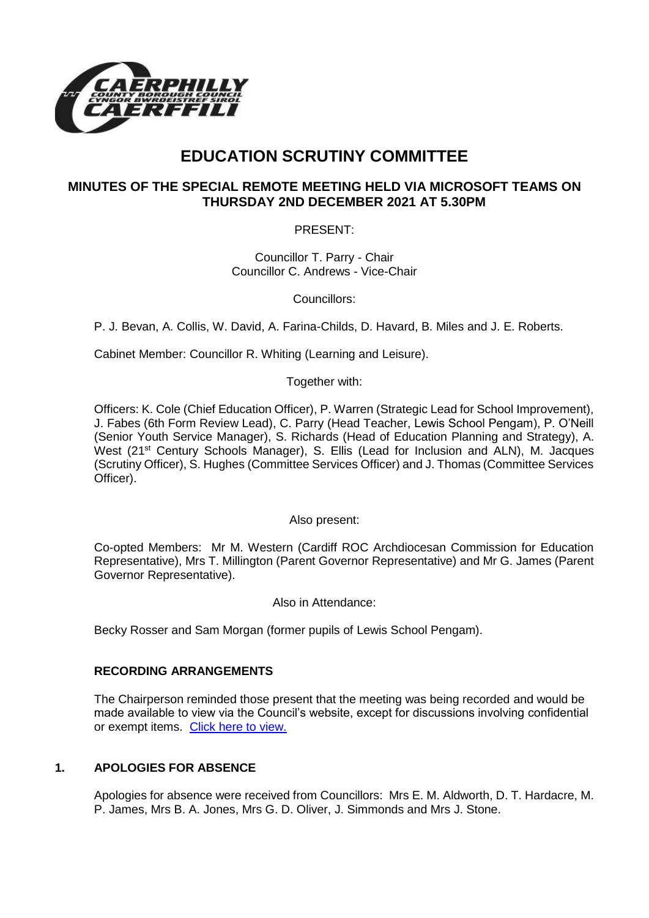

# **EDUCATION SCRUTINY COMMITTEE**

# **MINUTES OF THE SPECIAL REMOTE MEETING HELD VIA MICROSOFT TEAMS ON THURSDAY 2ND DECEMBER 2021 AT 5.30PM**

PRESENT:

Councillor T. Parry - Chair Councillor C. Andrews - Vice-Chair

Councillors:

P. J. Bevan, A. Collis, W. David, A. Farina-Childs, D. Havard, B. Miles and J. E. Roberts.

Cabinet Member: Councillor R. Whiting (Learning and Leisure).

#### Together with:

Officers: K. Cole (Chief Education Officer), P. Warren (Strategic Lead for School Improvement), J. Fabes (6th Form Review Lead), C. Parry (Head Teacher, Lewis School Pengam), P. O'Neill (Senior Youth Service Manager), S. Richards (Head of Education Planning and Strategy), A. West (21<sup>st</sup> Century Schools Manager), S. Ellis (Lead for Inclusion and ALN), M. Jacques (Scrutiny Officer), S. Hughes (Committee Services Officer) and J. Thomas (Committee Services Officer).

Also present:

Co-opted Members: Mr M. Western (Cardiff ROC Archdiocesan Commission for Education Representative), Mrs T. Millington (Parent Governor Representative) and Mr G. James (Parent Governor Representative).

Also in Attendance:

Becky Rosser and Sam Morgan (former pupils of Lewis School Pengam).

#### **RECORDING ARRANGEMENTS**

The Chairperson reminded those present that the meeting was being recorded and would be made available to view via the Council's website, except for discussions involving confidential or exempt items. [Click here to view.](https://www.caerphilly.gov.uk/My-Council/Meetings,-agendas,-minutes-and-reports/Council-meetings)

#### **1. APOLOGIES FOR ABSENCE**

Apologies for absence were received from Councillors: Mrs E. M. Aldworth, D. T. Hardacre, M. P. James, Mrs B. A. Jones, Mrs G. D. Oliver, J. Simmonds and Mrs J. Stone.